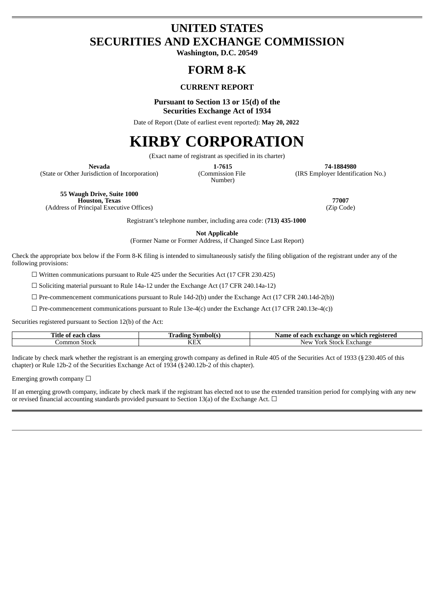# **UNITED STATES SECURITIES AND EXCHANGE COMMISSION**

**Washington, D.C. 20549**

## **FORM 8-K**

## **CURRENT REPORT**

**Pursuant to Section 13 or 15(d) of the Securities Exchange Act of 1934**

Date of Report (Date of earliest event reported): **May 20, 2022**

# **KIRBY CORPORATION**

(Exact name of registrant as specified in its charter)

(State or Other Jurisdiction of Incorporation) (Commission File

Number)

**Nevada 1-7615 74-1884980** (IRS Employer Identification No.)

**55 Waugh Drive, Suite 1000 Houston, Texas 77007** (Address of Principal Executive Offices) (Zip Code)

Registrant's telephone number, including area code: (**713) 435-1000**

**Not Applicable**

(Former Name or Former Address, if Changed Since Last Report)

Check the appropriate box below if the Form 8-K filing is intended to simultaneously satisfy the filing obligation of the registrant under any of the following provisions:

☐ Written communications pursuant to Rule 425 under the Securities Act (17 CFR 230.425)

☐ Soliciting material pursuant to Rule 14a-12 under the Exchange Act (17 CFR 240.14a-12)

 $\Box$  Pre-commencement communications pursuant to Rule 14d-2(b) under the Exchange Act (17 CFR 240.14d-2(b))

 $\Box$  Pre-commencement communications pursuant to Rule 13e-4(c) under the Exchange Act (17 CFR 240.13e-4(c))

Securities registered pursuant to Section 12(b) of the Act:

| ---<br>Title<br>class<br>-not<br>C.<br>v<br>ca u | /vmbol(<br>radıng - | registered<br>Name<br>ı exchange<br>each<br>-on<br>01<br>whicl |
|--------------------------------------------------|---------------------|----------------------------------------------------------------|
| Common<br>Stock                                  | T/TT<br>NĿ.         | Exchange<br>`New<br>York<br><b>Stock</b>                       |

Indicate by check mark whether the registrant is an emerging growth company as defined in Rule 405 of the Securities Act of 1933 (§230.405 of this chapter) or Rule 12b-2 of the Securities Exchange Act of 1934 (§240.12b-2 of this chapter).

Emerging growth company  $\Box$ 

If an emerging growth company, indicate by check mark if the registrant has elected not to use the extended transition period for complying with any new or revised financial accounting standards provided pursuant to Section 13(a) of the Exchange Act.  $\Box$